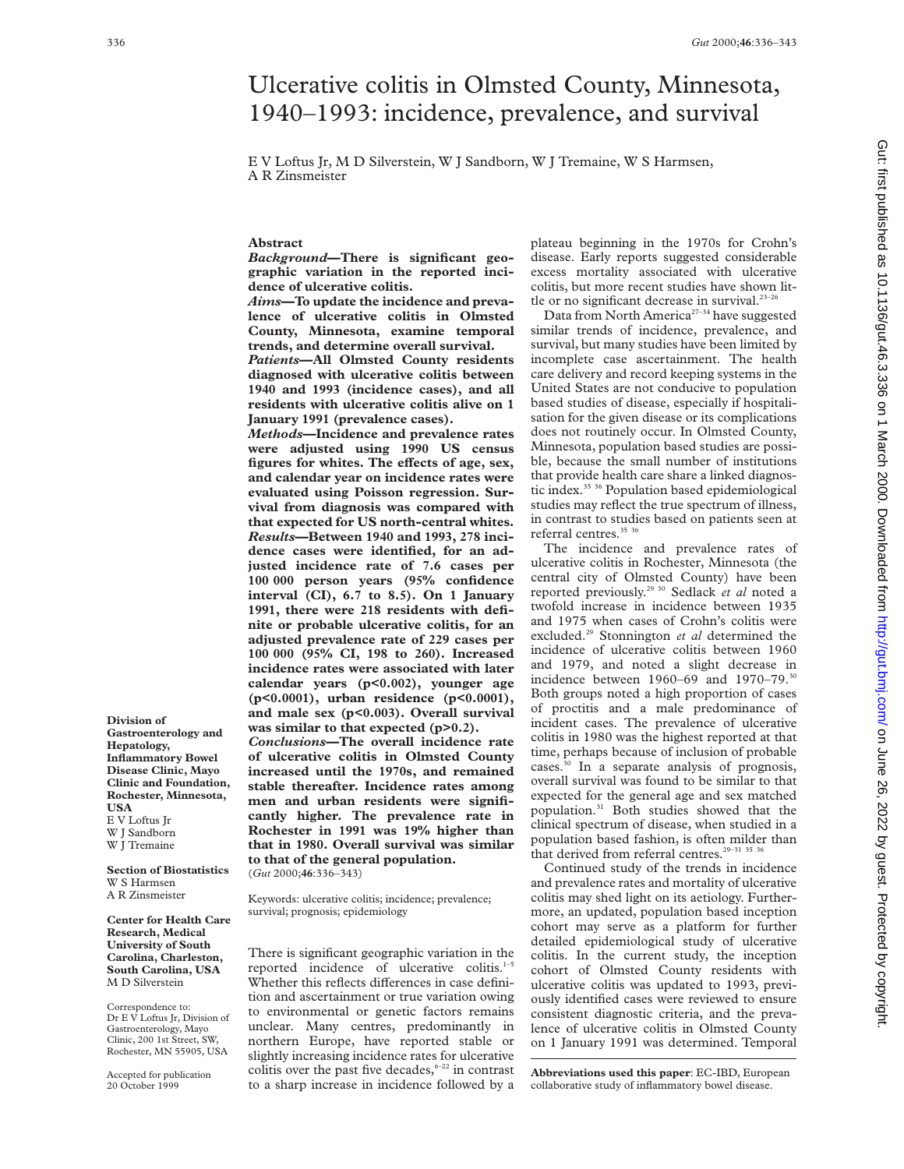# Ulcerative colitis in Olmsted County, Minnesota, 1940–1993: incidence, prevalence, and survival

E V Loftus Jr, M D Silverstein, W J Sandborn, W J Tremaine, W S Harmsen, A R Zinsmeister

# **Abstract**

*Background***—There is significant geographic variation in the reported incidence of ulcerative colitis.**

*Aims***—To update the incidence and prevalence of ulcerative colitis in Olmsted County, Minnesota, examine temporal trends, and determine overall survival.**

*Patients***—All Olmsted County residents diagnosed with ulcerative colitis between 1940 and 1993 (incidence cases), and all residents with ulcerative colitis alive on 1 January 1991 (prevalence cases).**

*Methods***—Incidence and prevalence rates were adjusted using 1990 US census** figures for whites. The effects of age, sex, **and calendar year on incidence rates were evaluated using Poisson regression. Survival from diagnosis was compared with that expected for US north-central whites.** *Results***—Between 1940 and 1993, 278 incidence cases were identified, for an adjusted incidence rate of 7.6 cases per 100 000 person years (95% confidence interval (CI), 6.7 to 8.5). On 1 January 1991, there were 218 residents with definite or probable ulcerative colitis, for an adjusted prevalence rate of 229 cases per 100 000 (95% CI, 198 to 260). Increased incidence rates were associated with later calendar years (p<0.002), younger age (p<0.0001), urban residence (p<0.0001), and male sex (p<0.003). Overall survival was similar to that expected (p>0.2).**

*Conclusions***—The overall incidence rate of ulcerative colitis in Olmsted County increased until the 1970s, and remained stable thereafter. Incidence rates among men and urban residents were significantly higher. The prevalence rate in Rochester in 1991 was 19% higher than that in 1980. Overall survival was similar to that of the general population.** (*Gut* 2000;**46**:336–343)

Keywords: ulcerative colitis; incidence; prevalence; survival; prognosis; epidemiology

There is significant geographic variation in the reported incidence of ulcerative colitis.<sup>1-</sup> Whether this reflects differences in case definition and ascertainment or true variation owing to environmental or genetic factors remains unclear. Many centres, predominantly in northern Europe, have reported stable or slightly increasing incidence rates for ulcerative colitis over the past five decades,  $6-22$  in contrast to a sharp increase in incidence followed by a

plateau beginning in the 1970s for Crohn's disease. Early reports suggested considerable excess mortality associated with ulcerative colitis, but more recent studies have shown little or no significant decrease in survival.<sup>23-26</sup>

Data from North America<sup>27-34</sup> have suggested similar trends of incidence, prevalence, and survival, but many studies have been limited by incomplete case ascertainment. The health care delivery and record keeping systems in the United States are not conducive to population based studies of disease, especially if hospitalisation for the given disease or its complications does not routinely occur. In Olmsted County, Minnesota, population based studies are possible, because the small number of institutions that provide health care share a linked diagnostic index.<sup>35</sup> <sup>36</sup> Population based epidemiological studies may reflect the true spectrum of illness, in contrast to studies based on patients seen at referral centres.<sup>35 36</sup>

The incidence and prevalence rates of ulcerative colitis in Rochester, Minnesota (the central city of Olmsted County) have been reported previously.29 30 Sedlack *et al* noted a twofold increase in incidence between 1935 and 1975 when cases of Crohn's colitis were excluded.29 Stonnington *et al* determined the incidence of ulcerative colitis between 1960 and 1979, and noted a slight decrease in incidence between 1960–69 and 1970–79. $30$ Both groups noted a high proportion of cases of proctitis and a male predominance of incident cases. The prevalence of ulcerative colitis in 1980 was the highest reported at that time, perhaps because of inclusion of probable cases.30 In a separate analysis of prognosis, overall survival was found to be similar to that expected for the general age and sex matched population.31 Both studies showed that the clinical spectrum of disease, when studied in a population based fashion, is often milder than that derived from referral centres.<sup>29–31 35 3</sup>

Continued study of the trends in incidence and prevalence rates and mortality of ulcerative colitis may shed light on its aetiology. Furthermore, an updated, population based inception cohort may serve as a platform for further detailed epidemiological study of ulcerative colitis. In the current study, the inception cohort of Olmsted County residents with ulcerative colitis was updated to 1993, previously identified cases were reviewed to ensure consistent diagnostic criteria, and the prevalence of ulcerative colitis in Olmsted County on 1 January 1991 was determined. Temporal

**Abbreviations used this paper**: EC-IBD, European collaborative study of inflammatory bowel disease.

**Division of Gastroenterology and Hepatology, Inflammatory Bowel Disease Clinic, Mayo Clinic and Foundation, Rochester, Minnesota, USA** E V Loftus Jr W J Sandborn W J Tremaine

**Section of Biostatistics** W S Harmsen A R Zinsmeister

**Center for Health Care Research, Medical University of South Carolina, Charleston, South Carolina, USA** M D Silverstein

Correspondence to: Dr E V Loftus Jr, Division of Gastroenterology, Mayo Clinic, 200 1st Street, SW, Rochester, MN 55905, USA

Accepted for publication 20 October 1999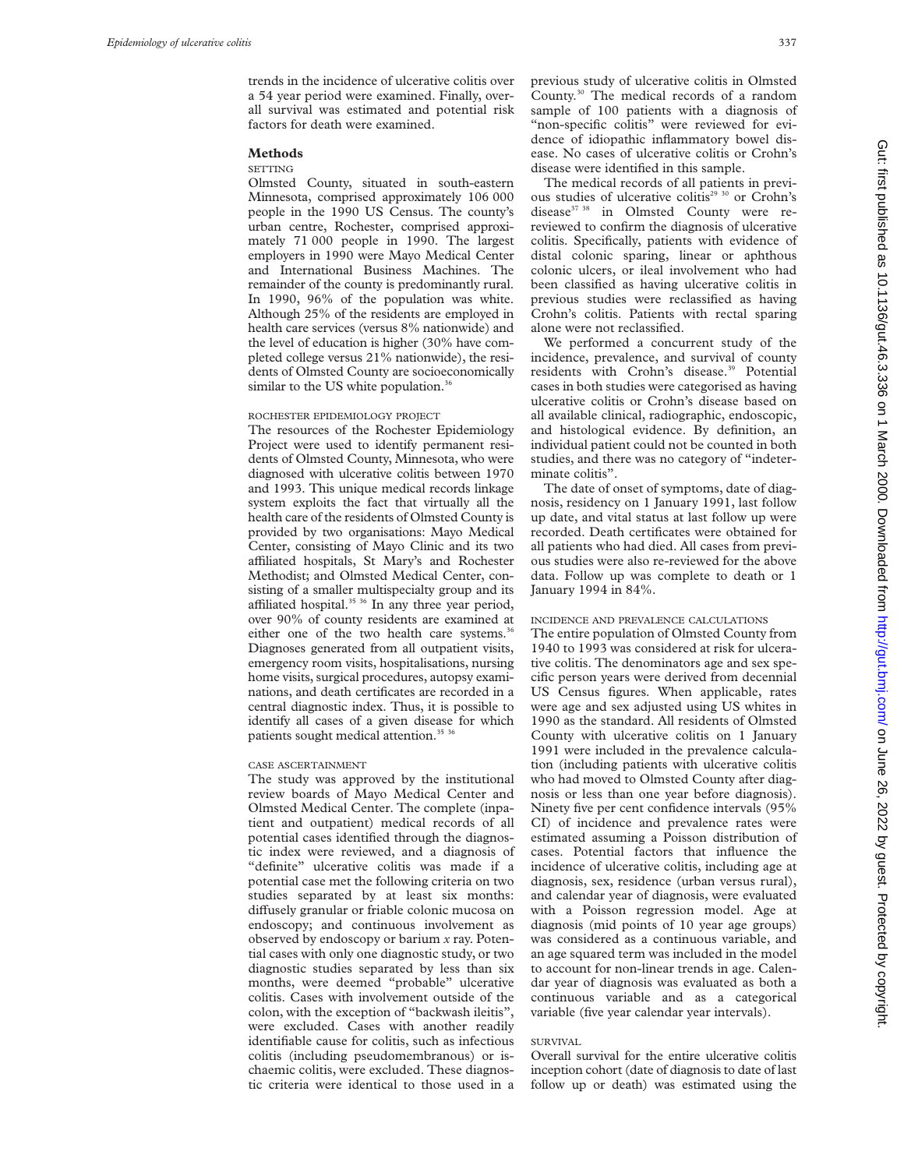trends in the incidence of ulcerative colitis over a 54 year period were examined. Finally, overall survival was estimated and potential risk factors for death were examined.

## **Methods**

# **SETTING**

Olmsted County, situated in south-eastern Minnesota, comprised approximately 106 000 people in the 1990 US Census. The county's urban centre, Rochester, comprised approximately 71 000 people in 1990. The largest employers in 1990 were Mayo Medical Center and International Business Machines. The remainder of the county is predominantly rural. In 1990, 96% of the population was white. Although 25% of the residents are employed in health care services (versus 8% nationwide) and the level of education is higher (30% have completed college versus 21% nationwide), the residents of Olmsted County are socioeconomically similar to the US white population. $36$ 

#### ROCHESTER EPIDEMIOLOGY PROJECT

The resources of the Rochester Epidemiology Project were used to identify permanent residents of Olmsted County, Minnesota, who were diagnosed with ulcerative colitis between 1970 and 1993. This unique medical records linkage system exploits the fact that virtually all the health care of the residents of Olmsted County is provided by two organisations: Mayo Medical Center, consisting of Mayo Clinic and its two affiliated hospitals, St Mary's and Rochester Methodist; and Olmsted Medical Center, consisting of a smaller multispecialty group and its affiliated hospital.<sup>35</sup> <sup>36</sup> In any three year period, over 90% of county residents are examined at either one of the two health care systems.<sup>36</sup> Diagnoses generated from all outpatient visits, emergency room visits, hospitalisations, nursing home visits, surgical procedures, autopsy examinations, and death certificates are recorded in a central diagnostic index. Thus, it is possible to identify all cases of a given disease for which patients sought medical attention.<sup>35</sup> <sup>36</sup>

#### CASE ASCERTAINMENT

The study was approved by the institutional review boards of Mayo Medical Center and Olmsted Medical Center. The complete (inpatient and outpatient) medical records of all potential cases identified through the diagnostic index were reviewed, and a diagnosis of "definite" ulcerative colitis was made if a potential case met the following criteria on two studies separated by at least six months: diffusely granular or friable colonic mucosa on endoscopy; and continuous involvement as observed by endoscopy or barium *x* ray. Potential cases with only one diagnostic study, or two diagnostic studies separated by less than six months, were deemed "probable" ulcerative colitis. Cases with involvement outside of the colon, with the exception of "backwash ileitis", were excluded. Cases with another readily identifiable cause for colitis, such as infectious colitis (including pseudomembranous) or ischaemic colitis, were excluded. These diagnostic criteria were identical to those used in a

previous study of ulcerative colitis in Olmsted County.30 The medical records of a random sample of 100 patients with a diagnosis of "non-specific colitis" were reviewed for evidence of idiopathic inflammatory bowel disease. No cases of ulcerative colitis or Crohn's disease were identified in this sample.

The medical records of all patients in previous studies of ulcerative colitis<sup>29 30</sup> or Crohn's disease<sup>37</sup> 38 in Olmsted County were rereviewed to confirm the diagnosis of ulcerative colitis. Specifically, patients with evidence of distal colonic sparing, linear or aphthous colonic ulcers, or ileal involvement who had been classified as having ulcerative colitis in previous studies were reclassified as having Crohn's colitis. Patients with rectal sparing alone were not reclassified.

We performed a concurrent study of the incidence, prevalence, and survival of county residents with Crohn's disease.<sup>39</sup> Potential cases in both studies were categorised as having ulcerative colitis or Crohn's disease based on all available clinical, radiographic, endoscopic, and histological evidence. By definition, an individual patient could not be counted in both studies, and there was no category of "indeterminate colitis".

The date of onset of symptoms, date of diagnosis, residency on 1 January 1991, last follow up date, and vital status at last follow up were recorded. Death certificates were obtained for all patients who had died. All cases from previous studies were also re-reviewed for the above data. Follow up was complete to death or 1 January 1994 in 84%.

## INCIDENCE AND PREVALENCE CALCULATIONS

The entire population of Olmsted County from 1940 to 1993 was considered at risk for ulcerative colitis. The denominators age and sex specific person years were derived from decennial US Census figures. When applicable, rates were age and sex adjusted using US whites in 1990 as the standard. All residents of Olmsted County with ulcerative colitis on 1 January 1991 were included in the prevalence calculation (including patients with ulcerative colitis who had moved to Olmsted County after diagnosis or less than one year before diagnosis). Ninety five per cent confidence intervals (95% CI) of incidence and prevalence rates were estimated assuming a Poisson distribution of cases. Potential factors that influence the incidence of ulcerative colitis, including age at diagnosis, sex, residence (urban versus rural), and calendar year of diagnosis, were evaluated with a Poisson regression model. Age at diagnosis (mid points of 10 year age groups) was considered as a continuous variable, and an age squared term was included in the model to account for non-linear trends in age. Calendar year of diagnosis was evaluated as both a continuous variable and as a categorical variable (five year calendar year intervals).

# SURVIVAL

Overall survival for the entire ulcerative colitis inception cohort (date of diagnosis to date of last follow up or death) was estimated using the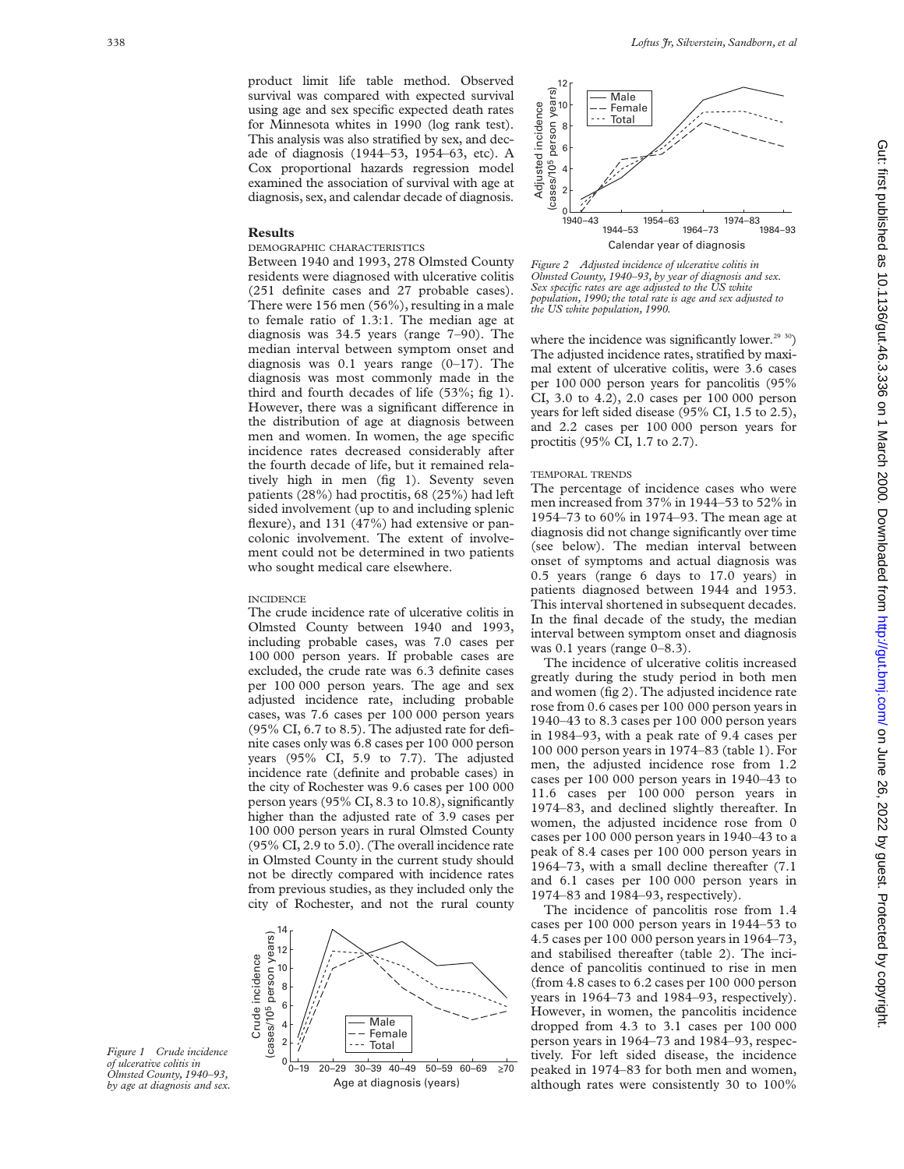## **Results**

#### DEMOGRAPHIC CHARACTERISTICS

Between 1940 and 1993, 278 Olmsted County residents were diagnosed with ulcerative colitis (251 definite cases and 27 probable cases). There were 156 men (56%), resulting in a male to female ratio of 1.3:1. The median age at diagnosis was 34.5 years (range 7–90). The median interval between symptom onset and diagnosis was  $0.1$  years range  $(0-17)$ . The diagnosis was most commonly made in the third and fourth decades of life (53%; fig 1). However, there was a significant difference in the distribution of age at diagnosis between men and women. In women, the age specific incidence rates decreased considerably after the fourth decade of life, but it remained relatively high in men (fig 1). Seventy seven patients (28%) had proctitis, 68 (25%) had left sided involvement (up to and including splenic flexure), and 131 (47%) had extensive or pancolonic involvement. The extent of involvement could not be determined in two patients who sought medical care elsewhere.

## INCIDENCE

The crude incidence rate of ulcerative colitis in Olmsted County between 1940 and 1993, including probable cases, was 7.0 cases per 100 000 person years. If probable cases are excluded, the crude rate was 6.3 definite cases per 100 000 person years. The age and sex adjusted incidence rate, including probable cases, was 7.6 cases per 100 000 person years (95% CI, 6.7 to 8.5). The adjusted rate for definite cases only was 6.8 cases per 100 000 person years (95% CI, 5.9 to 7.7). The adjusted incidence rate (definite and probable cases) in the city of Rochester was 9.6 cases per 100 000 person years (95% CI, 8.3 to 10.8), significantly higher than the adjusted rate of 3.9 cases per 100 000 person years in rural Olmsted County (95% CI, 2.9 to 5.0). (The overall incidence rate in Olmsted County in the current study should not be directly compared with incidence rates from previous studies, as they included only the city of Rochester, and not the rural county



*Figure 1 Crude incidence of ulcerative colitis in Olmsted County, 1940–93, by age at diagnosis and sex.*



*Figure 2 Adjusted incidence of ulcerative colitis in Olmsted County, 1940–93, by year of diagnosis and sex. Sex specific rates are age adjusted to the US white population, 1990; the total rate is age and sex adjusted to the US white population, 1990.*

where the incidence was significantly lower.<sup>29 30</sup>) The adjusted incidence rates, stratified by maximal extent of ulcerative colitis, were 3.6 cases per 100 000 person years for pancolitis (95% CI, 3.0 to 4.2), 2.0 cases per 100 000 person years for left sided disease (95% CI, 1.5 to 2.5), and 2.2 cases per 100 000 person years for proctitis (95% CI, 1.7 to 2.7).

## TEMPORAL TRENDS

The percentage of incidence cases who were men increased from 37% in 1944–53 to 52% in 1954–73 to 60% in 1974–93. The mean age at diagnosis did not change significantly over time (see below). The median interval between onset of symptoms and actual diagnosis was 0.5 years (range 6 days to 17.0 years) in patients diagnosed between 1944 and 1953. This interval shortened in subsequent decades. In the final decade of the study, the median interval between symptom onset and diagnosis was 0.1 years (range 0–8.3).

The incidence of ulcerative colitis increased greatly during the study period in both men and women (fig 2). The adjusted incidence rate rose from 0.6 cases per 100 000 person years in 1940–43 to 8.3 cases per 100 000 person years in 1984–93, with a peak rate of 9.4 cases per 100 000 person years in 1974–83 (table 1). For men, the adjusted incidence rose from 1.2 cases per 100 000 person years in 1940–43 to 11.6 cases per 100 000 person years in 1974–83, and declined slightly thereafter. In women, the adjusted incidence rose from 0 cases per 100 000 person years in 1940–43 to a peak of 8.4 cases per 100 000 person years in 1964–73, with a small decline thereafter (7.1 and 6.1 cases per 100 000 person years in 1974–83 and 1984–93, respectively).

The incidence of pancolitis rose from 1.4 cases per 100 000 person years in 1944–53 to 4.5 cases per 100 000 person years in 1964–73, and stabilised thereafter (table 2). The incidence of pancolitis continued to rise in men (from 4.8 cases to 6.2 cases per 100 000 person years in 1964–73 and 1984–93, respectively). However, in women, the pancolitis incidence dropped from 4.3 to 3.1 cases per 100 000 person years in 1964–73 and 1984–93, respectively. For left sided disease, the incidence peaked in 1974–83 for both men and women, although rates were consistently 30 to 100%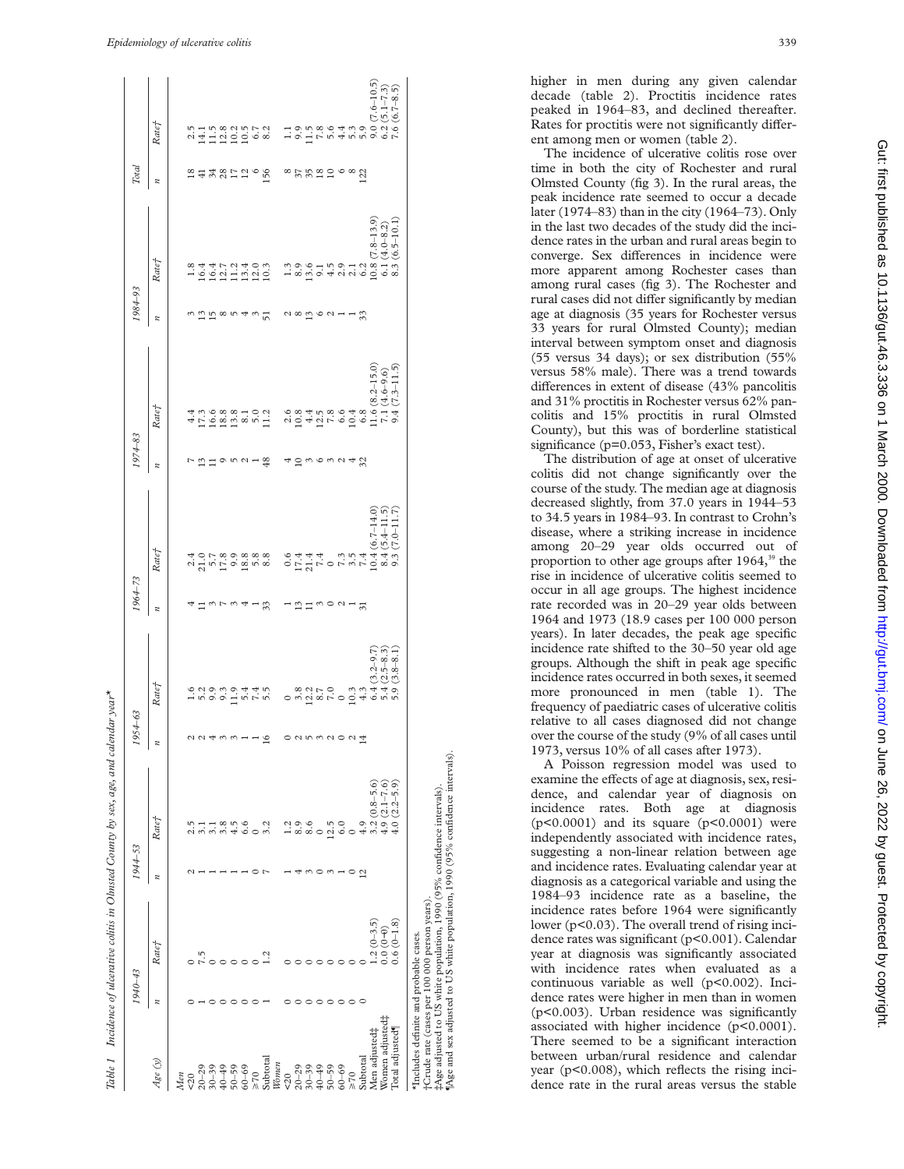|                                        | $1940 - 43$      |                                                                        | $1944 - 53$      |                                                                                | 1954-63                                                                                       |                                                                                                        | 1964-73                                      |                                                                                                                  | 1974-83     |                                                                                                                                                                                   | 1984-93                                                     |                                                                                                                                                                                                                                                                                                                 | Total    |                                                                                          |
|----------------------------------------|------------------|------------------------------------------------------------------------|------------------|--------------------------------------------------------------------------------|-----------------------------------------------------------------------------------------------|--------------------------------------------------------------------------------------------------------|----------------------------------------------|------------------------------------------------------------------------------------------------------------------|-------------|-----------------------------------------------------------------------------------------------------------------------------------------------------------------------------------|-------------------------------------------------------------|-----------------------------------------------------------------------------------------------------------------------------------------------------------------------------------------------------------------------------------------------------------------------------------------------------------------|----------|------------------------------------------------------------------------------------------|
| Age (y)                                | $\boldsymbol{z}$ | Ratef                                                                  | $\boldsymbol{n}$ | Rate†                                                                          | $\boldsymbol{n}$                                                                              | Rate†                                                                                                  | $\boldsymbol{z}$                             | Rate†                                                                                                            | n           | Rate†                                                                                                                                                                             | $\boldsymbol{z}$                                            | Rate†                                                                                                                                                                                                                                                                                                           | n        | Rate†                                                                                    |
| Men                                    |                  |                                                                        |                  |                                                                                |                                                                                               |                                                                                                        |                                              |                                                                                                                  |             |                                                                                                                                                                                   |                                                             |                                                                                                                                                                                                                                                                                                                 |          |                                                                                          |
| 50 <sup>2</sup>                        |                  |                                                                        |                  | 2.5                                                                            |                                                                                               |                                                                                                        |                                              |                                                                                                                  |             |                                                                                                                                                                                   |                                                             |                                                                                                                                                                                                                                                                                                                 |          |                                                                                          |
| $20 - 29$                              |                  |                                                                        |                  | $\frac{3}{3}$ .1                                                               | 22433                                                                                         |                                                                                                        | $\Xi$ $\omega$ $\mu$ $\omega$ $\Delta$ $\mu$ |                                                                                                                  | $11000 - 2$ | $4.79887702$<br>$4.79837877$                                                                                                                                                      | うけに85431                                                    |                                                                                                                                                                                                                                                                                                                 | 27785286 | $211.880.57$<br>$211.22268$                                                              |
| $30 - 39$                              |                  |                                                                        |                  |                                                                                |                                                                                               |                                                                                                        |                                              |                                                                                                                  |             |                                                                                                                                                                                   |                                                             |                                                                                                                                                                                                                                                                                                                 |          |                                                                                          |
| $40 - 49$                              | ∘                | $\circ$                                                                |                  | $3.\overline{5}$                                                               |                                                                                               |                                                                                                        |                                              |                                                                                                                  |             |                                                                                                                                                                                   |                                                             |                                                                                                                                                                                                                                                                                                                 |          |                                                                                          |
| $50 - 59$                              | $\circ$          |                                                                        |                  |                                                                                |                                                                                               |                                                                                                        |                                              |                                                                                                                  |             |                                                                                                                                                                                   |                                                             |                                                                                                                                                                                                                                                                                                                 |          |                                                                                          |
| $60 - 69$                              | $\circ$          |                                                                        |                  |                                                                                |                                                                                               |                                                                                                        |                                              |                                                                                                                  |             |                                                                                                                                                                                   |                                                             |                                                                                                                                                                                                                                                                                                                 |          |                                                                                          |
| $0L \leq$                              |                  |                                                                        |                  | 6.6                                                                            |                                                                                               |                                                                                                        |                                              |                                                                                                                  |             |                                                                                                                                                                                   |                                                             |                                                                                                                                                                                                                                                                                                                 |          |                                                                                          |
| Subtotal                               |                  | 1.2                                                                    |                  | 3.2                                                                            | 16                                                                                            |                                                                                                        | 33                                           |                                                                                                                  |             |                                                                                                                                                                                   |                                                             |                                                                                                                                                                                                                                                                                                                 |          |                                                                                          |
| $W$ onen                               |                  |                                                                        |                  |                                                                                |                                                                                               |                                                                                                        |                                              |                                                                                                                  |             |                                                                                                                                                                                   |                                                             |                                                                                                                                                                                                                                                                                                                 |          |                                                                                          |
| 20                                     |                  |                                                                        |                  |                                                                                | $\circ$                                                                                       |                                                                                                        |                                              | $0.744$ $0.744$ $0.74$<br>$0.744$ $0.74$<br>$0.74$                                                               |             |                                                                                                                                                                                   |                                                             |                                                                                                                                                                                                                                                                                                                 |          |                                                                                          |
| $20 - 29$                              | ∘                |                                                                        |                  |                                                                                |                                                                                               |                                                                                                        |                                              |                                                                                                                  |             |                                                                                                                                                                                   |                                                             |                                                                                                                                                                                                                                                                                                                 |          |                                                                                          |
| $30 - 39$                              | $\circ$          |                                                                        | $\omega$         |                                                                                |                                                                                               |                                                                                                        |                                              |                                                                                                                  |             |                                                                                                                                                                                   |                                                             |                                                                                                                                                                                                                                                                                                                 |          |                                                                                          |
| $40 - 49$                              | $\circ$          |                                                                        |                  |                                                                                |                                                                                               |                                                                                                        |                                              |                                                                                                                  |             |                                                                                                                                                                                   |                                                             |                                                                                                                                                                                                                                                                                                                 |          |                                                                                          |
| $50 - 59$                              | $\circ$          |                                                                        | 3                | 8.9<br>8.9<br>2.1                                                              | $\begin{array}{c}\n0 & \text{if } \theta \geq 0 \\ 0 & \text{if } \theta \geq 0\n\end{array}$ |                                                                                                        | $\mathbb{S} = \mathbb{S} \cup \mathbb{S}$    |                                                                                                                  | すいるのうさせい    |                                                                                                                                                                                   | $\alpha \otimes \underline{\alpha} \otimes \alpha - \alpha$ |                                                                                                                                                                                                                                                                                                                 |          |                                                                                          |
| $60 - 69$                              | $\circ$          |                                                                        |                  | $\frac{0}{6}$                                                                  |                                                                                               |                                                                                                        |                                              |                                                                                                                  |             |                                                                                                                                                                                   |                                                             |                                                                                                                                                                                                                                                                                                                 |          |                                                                                          |
| $02 \leq$                              |                  |                                                                        |                  |                                                                                |                                                                                               |                                                                                                        |                                              |                                                                                                                  |             |                                                                                                                                                                                   |                                                             |                                                                                                                                                                                                                                                                                                                 |          |                                                                                          |
| Subtotal                               | $\circ$          |                                                                        | 12               | 4.9                                                                            |                                                                                               |                                                                                                        |                                              |                                                                                                                  |             |                                                                                                                                                                                   |                                                             |                                                                                                                                                                                                                                                                                                                 |          |                                                                                          |
| Men adjusted‡                          |                  | $1.2(0-3.5)$<br>0.0 $(0-0)$                                            |                  | $3.2(0.8-5.6)$<br>4.9 $(2.1-7.6)$                                              |                                                                                               | 0<br>3.8<br>12.2<br>13.7<br>7.0<br>7.9.3.7<br>13.8-8.1<br>6.4 3.8-8.1<br>5.9 4.3<br>5.9 4.3<br>5.9 5.8 |                                              | $\begin{array}{c} 10.4 \ (6.7\text{--}14.0) \\ 8.4 \ (5.4\text{--}11.5) \\ 9.3 \ (7.0\text{--}11.7) \end{array}$ |             | $\begin{array}{l} 2.6 \\ 10.8 \\ 14.4 \\ 12.5 \\ 12.5 \\ 6.8 \\ 10.4 \\ 10.4 \\ 1.6 \\ 10.4 \\ 1.6 \\ 9.4 \\ (7.3-11.5) \\ 9.4 \\ (7.3-11.5) \\ 9.4 \\ (7.3-11.5) \\ \end{array}$ |                                                             | $\begin{array}{l} 1.3 \\ 8.9 \\ 8.9 \\ 13.6 \\ 9.1 \\ 2.4 \\ 2.9 \\ 2.1 \\ 3.0 \\ 2.1 \\ 0.2 \\ 0.3 \\ (7.8-13.9) \\ 0.2 \\ 0.3 \\ (8.5-10.1) \\ 8.3 \\ (8.5-10.1) \\ 8.3 \\ (8.5-10.1) \\ 8.3 \\ (8.5-10.1) \\ 8.3 \\ (8.5-10.1) \\ 8.3 \\ (8.5-10.1) \\ 8.3 \\ (8.5-10.1) \\ 8.3 \\ (8.5-10.2) \\ 8.3 \\ (8.$ |          | 1.1<br>9.9<br>11.5<br>7.8<br>5.9<br>5.9<br>7.6<br>9.0<br>7.6<br>9.0<br>9.0<br>9.0<br>9.0 |
| Women adjusted#                        |                  |                                                                        |                  |                                                                                |                                                                                               |                                                                                                        |                                              |                                                                                                                  |             |                                                                                                                                                                                   |                                                             |                                                                                                                                                                                                                                                                                                                 |          | $6.2 (5.1 - 7.3)$<br>7.6 $(6.7 - 8.5)$                                                   |
| Total adjusted                         |                  | $0.6(0-1.8)$                                                           |                  | $4.0(2.2-5.9)$                                                                 |                                                                                               |                                                                                                        |                                              |                                                                                                                  |             |                                                                                                                                                                                   |                                                             |                                                                                                                                                                                                                                                                                                                 |          |                                                                                          |
| *Includes definite and probable cases. |                  |                                                                        |                  |                                                                                |                                                                                               |                                                                                                        |                                              |                                                                                                                  |             |                                                                                                                                                                                   |                                                             |                                                                                                                                                                                                                                                                                                                 |          |                                                                                          |
|                                        |                  | †Crude rate (cases per 100 000 person years).                          |                  |                                                                                |                                                                                               |                                                                                                        |                                              |                                                                                                                  |             |                                                                                                                                                                                   |                                                             |                                                                                                                                                                                                                                                                                                                 |          |                                                                                          |
|                                        |                  | ‡Age adjusted to US white population, 1990 (95% confidence intervals). |                  | TAge and sex adjusted to US white population, 1990 (95% confidence intervals). |                                                                                               |                                                                                                        |                                              |                                                                                                                  |             |                                                                                                                                                                                   |                                                             |                                                                                                                                                                                                                                                                                                                 |          |                                                                                          |
|                                        |                  |                                                                        |                  |                                                                                |                                                                                               |                                                                                                        |                                              |                                                                                                                  |             |                                                                                                                                                                                   |                                                             |                                                                                                                                                                                                                                                                                                                 |          |                                                                                          |

higher in men during any given calendar decade (table 2). Proctitis incidence rates peaked in 1964–83, and declined thereafter. Rates for proctitis were not significantly different among men or women (table 2).

The incidence of ulcerative colitis rose over time in both the city of Rochester and rural Olmsted County (fig 3). In the rural areas, the peak incidence rate seemed to occur a decade later (1974–83) than in the city (1964–73). Only in the last two decades of the study did the incidence rates in the urban and rural areas begin to converge. Sex differences in incidence were more apparent among Rochester cases than among rural cases (fig 3). The Rochester and rural cases did not differ significantly by median age at diagnosis (35 years for Rochester versus 33 years for rural Olmsted County); median interval between symptom onset and diagnosis (55 versus 34 days); or sex distribution (55% versus 58% male). There was a trend towards differences in extent of disease (43% pancolitis and 31% proctitis in Rochester versus 62% pancolitis and 15% proctitis in rural Olmsted County), but this was of borderline statistical significance (p=0.053, Fisher's exact test).

The distribution of age at onset of ulcerative colitis did not change significantly over the course of the study. The median age at diagnosis decreased slightly, from 37.0 years in 1944–53 to 34.5 years in 1984–93. In contrast to Crohn's disease, where a striking increase in incidence among 20–29 year olds occurred out of proportion to other age groups after  $1964$ ,<sup>39</sup> the rise in incidence of ulcerative colitis seemed to occur in all age groups. The highest incidence rate recorded was in 20–29 year olds between 1964 and 1973 (18.9 cases per 100 000 person years). In later decades, the peak age specific incidence rate shifted to the 30–50 year old age groups. Although the shift in peak age specific incidence rates occurred in both sexes, it seemed more pronounced in men (table 1). The frequency of paediatric cases of ulcerative colitis relative to all cases diagnosed did not change over the course of the study (9% of all cases until 1973, versus 10% of all cases after 1973).

A Poisson regression model was used to examine the effects of age at diagnosis, sex, residence, and calendar year of diagnosis on incidence rates. Both age at diagnosis  $(p<0.0001)$  and its square  $(p<0.0001)$  were independently associated with incidence rates, suggesting a non-linear relation between age and incidence rates. Evaluating calendar year at diagnosis as a categorical variable and using the 1984–93 incidence rate as a baseline, the incidence rates before 1964 were significantly lower (p<0.03). The overall trend of rising incidence rates was significant (p<0.001). Calendar year at diagnosis was significantly associated with incidence rates when evaluated as a continuous variable as well (p<0.002). Incidence rates were higher in men than in women (p<0.003). Urban residence was significantly associated with higher incidence (p<0.0001). There seemed to be a significant interaction between urban/rural residence and calendar year (p<0.008), which reflects the rising incidence rate in the rural areas versus the stable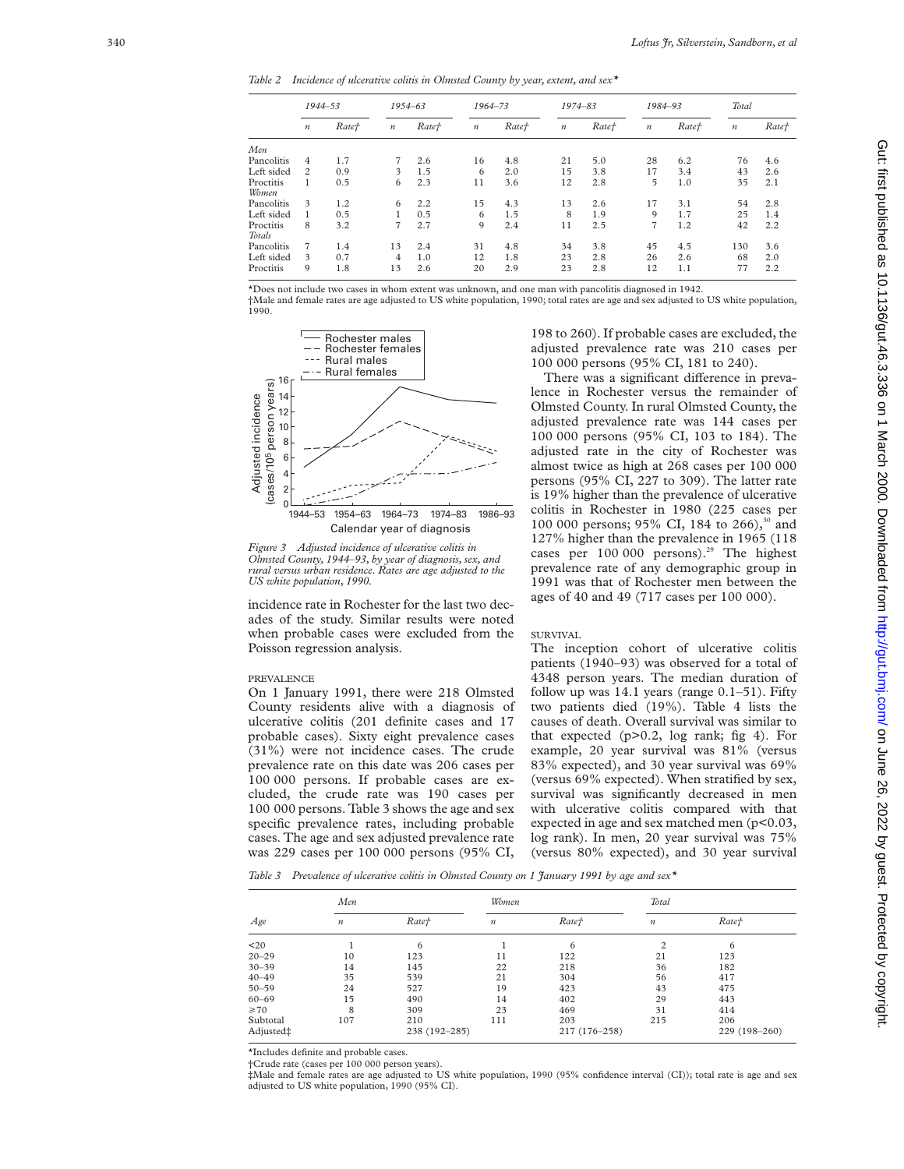*Table 2 Incidence of ulcerative colitis in Olmsted County by year, extent, and sex\**

|                     | 1944-53          |       |                  | $1954 - 63$ | 1964-73          |       | $1974 - 83$      |       | 1984-93          |       | Total            |       |
|---------------------|------------------|-------|------------------|-------------|------------------|-------|------------------|-------|------------------|-------|------------------|-------|
|                     | $\boldsymbol{n}$ | Ratet | $\boldsymbol{n}$ | Rate†       | $\boldsymbol{n}$ | Rate† | $\boldsymbol{n}$ | Rate† | $\boldsymbol{n}$ | Rate† | $\boldsymbol{n}$ | Rate+ |
| Men                 |                  |       |                  |             |                  |       |                  |       |                  |       |                  |       |
| Pancolitis          | $\overline{4}$   | 1.7   | $\overline{7}$   | 2.6         | 16               | 4.8   | 21               | 5.0   | 28               | 6.2   | 76               | 4.6   |
| Left sided          | 2                | 0.9   | 3                | 1.5         | 6                | 2.0   | 15               | 3.8   | 17               | 3.4   | 43               | 2.6   |
| Proctitis<br>Women  | 1                | 0.5   | 6                | 2.3         | 11               | 3.6   | 12               | 2.8   | 5                | 1.0   | 35               | 2.1   |
| Pancolitis          | 3                | 1.2   | 6                | 2.2         | 15               | 4.3   | 13               | 2.6   | 17               | 3.1   | 54               | 2.8   |
| Left sided          |                  | 0.5   |                  | 0.5         | 6                | 1.5   | 8                | 1.9   | 9                | 1.7   | 25               | 1.4   |
| Proctitis<br>Totals | 8                | 3.2   | $\overline{7}$   | 2.7         | 9                | 2.4   | 11               | 2.5   | $\overline{7}$   | 1.2   | 42               | 2.2   |
| Pancolitis          | 7                | 1.4   | 13               | 2.4         | 31               | 4.8   | 34               | 3.8   | 45               | 4.5   | 130              | 3.6   |
| Left sided          | 3                | 0.7   | 4                | 1.0         | 12               | 1.8   | 23               | 2.8   | 26               | 2.6   | 68               | 2.0   |
| Proctitis           | 9                | 1.8   | 13               | 2.6         | 20               | 2.9   | 23               | 2.8   | 12               | 1.1   | 77               | 2.2   |

\*Does not include two cases in whom extent was unknown, and one man with pancolitis diagnosed in 1942.

†Male and female rates are age adjusted to US white population, 1990; total rates are age and sex adjusted to US white population, 1990.



*Figure 3 Adjusted incidence of ulcerative colitis in Olmsted County, 1944–93, by year of diagnosis, sex, and rural versus urban residence. Rates are age adjusted to the US white population, 1990.*

incidence rate in Rochester for the last two decades of the study. Similar results were noted when probable cases were excluded from the Poisson regression analysis.

#### PREVALENCE

On 1 January 1991, there were 218 Olmsted County residents alive with a diagnosis of ulcerative colitis (201 definite cases and 17 probable cases). Sixty eight prevalence cases (31%) were not incidence cases. The crude prevalence rate on this date was 206 cases per 100 000 persons. If probable cases are excluded, the crude rate was 190 cases per 100 000 persons. Table 3 shows the age and sex specific prevalence rates, including probable cases. The age and sex adjusted prevalence rate was 229 cases per 100 000 persons (95% CI,

198 to 260). If probable cases are excluded, the adjusted prevalence rate was 210 cases per 100 000 persons (95% CI, 181 to 240).

There was a significant difference in prevalence in Rochester versus the remainder of Olmsted County. In rural Olmsted County, the adjusted prevalence rate was 144 cases per 100 000 persons (95% CI, 103 to 184). The adjusted rate in the city of Rochester was almost twice as high at 268 cases per 100 000 persons (95% CI, 227 to 309). The latter rate is 19% higher than the prevalence of ulcerative colitis in Rochester in 1980 (225 cases per 100 000 persons; 95% CI, 184 to 266),<sup>30</sup> and 127% higher than the prevalence in 1965 (118 cases per 100 000 persons).<sup>29</sup> The highest prevalence rate of any demographic group in 1991 was that of Rochester men between the ages of 40 and 49 (717 cases per 100 000).

# SURVIVAL

The inception cohort of ulcerative colitis patients (1940–93) was observed for a total of 4348 person years. The median duration of follow up was 14.1 years (range  $0.1-51$ ). Fifty two patients died (19%). Table 4 lists the causes of death. Overall survival was similar to that expected (p>0.2, log rank; fig 4). For example, 20 year survival was 81% (versus 83% expected), and 30 year survival was 69% (versus 69% expected). When stratified by sex, survival was significantly decreased in men with ulcerative colitis compared with that expected in age and sex matched men (p<0.03, log rank). In men, 20 year survival was 75% (versus 80% expected), and 30 year survival

*Table 3 Prevalence of ulcerative colitis in Olmsted County on 1 January 1991 by age and sex\**

|           | Men              |               | Women            |               | Total            |               |
|-----------|------------------|---------------|------------------|---------------|------------------|---------------|
| Age       | $\boldsymbol{n}$ | Rate+         | $\boldsymbol{n}$ | Rate+         | $\boldsymbol{n}$ | Rate+         |
| $20$      |                  | 6             |                  | 6             | $\overline{c}$   | 6             |
| $20 - 29$ | 10               | 123           | 11               | 122           | 21               | 123           |
| $30 - 39$ | 14               | 145           | 22               | 218           | 36               | 182           |
| $40 - 49$ | 35               | 539           | 21               | 304           | 56               | 417           |
| $50 - 59$ | 24               | 527           | 19               | 423           | 43               | 475           |
| $60 - 69$ | 15               | 490           | 14               | 402           | 29               | 443           |
| $\geq 70$ | 8                | 309           | 23               | 469           | 31               | 414           |
| Subtotal  | 107              | 210           | 111              | 203           | 215              | 206           |
| Adjusted‡ |                  | 238 (192-285) |                  | 217 (176-258) |                  | 229 (198-260) |

\*Includes definite and probable cases.

†Crude rate (cases per 100 000 person years).

‡Male and female rates are age adjusted to US white population, 1990 (95% confidence interval (CI)); total rate is age and sex adjusted to US white population, 1990 (95% CI).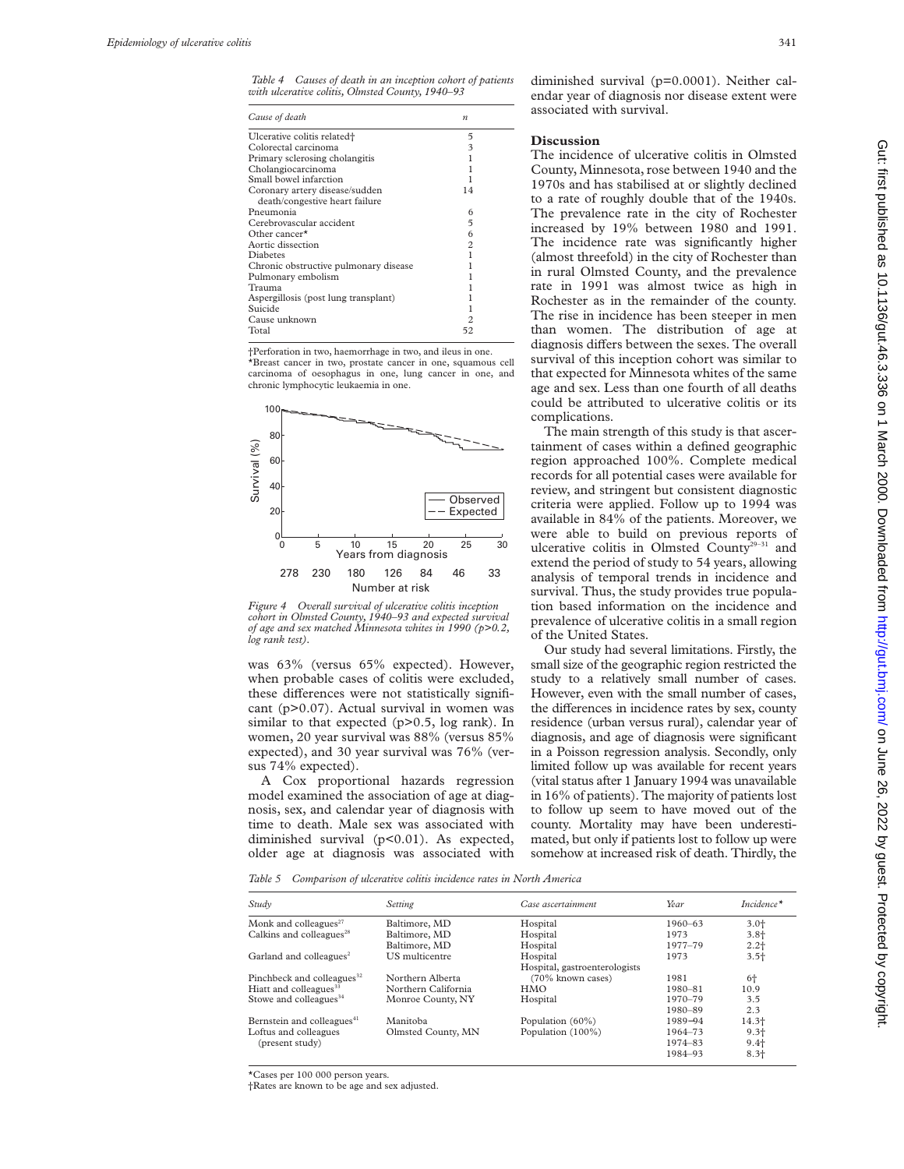*Table 4 Causes of death in an inception cohort of patients with ulcerative colitis, Olmsted County, 1940–93*

| Cause of death                          | $\boldsymbol{n}$ |  |
|-----------------------------------------|------------------|--|
| Ulcerative colitis related <sup>+</sup> | 5                |  |
| Colorectal carcinoma                    | 3                |  |
| Primary sclerosing cholangitis          |                  |  |
| Cholangiocarcinoma                      |                  |  |
| Small bowel infarction                  |                  |  |
| Coronary artery disease/sudden          | 14               |  |
| death/congestive heart failure          |                  |  |
| Pneumonia                               | 6                |  |
| Cerebrovascular accident                | 5                |  |
| Other cancer $\star$                    | 6                |  |
| Aortic dissection                       | 2                |  |
| <b>Diabetes</b>                         | 1                |  |
| Chronic obstructive pulmonary disease   |                  |  |
| Pulmonary embolism                      |                  |  |
| Trauma                                  |                  |  |
| Aspergillosis (post lung transplant)    |                  |  |
| Suicide                                 |                  |  |
| Cause unknown                           | 2                |  |
| Total                                   | 52               |  |

†Perforation in two, haemorrhage in two, and ileus in one. \*Breast cancer in two, prostate cancer in one, squamous cell carcinoma of oesophagus in one, lung cancer in one, and chronic lymphocytic leukaemia in one.



*Figure 4 Overall survival of ulcerative colitis inception cohort in Olmsted County, 1940–93 and expected survival of age and sex matched Minnesota whites in 1990 (p>0.2, log rank test).*

was 63% (versus 65% expected). However, when probable cases of colitis were excluded, these differences were not statistically significant (p>0.07). Actual survival in women was similar to that expected (p>0.5, log rank). In women, 20 year survival was 88% (versus 85% expected), and 30 year survival was 76% (versus 74% expected).

A Cox proportional hazards regression model examined the association of age at diagnosis, sex, and calendar year of diagnosis with time to death. Male sex was associated with diminished survival (p<0.01). As expected, older age at diagnosis was associated with diminished survival (p=0.0001). Neither calendar year of diagnosis nor disease extent were associated with survival.

#### **Discussion**

The incidence of ulcerative colitis in Olmsted County, Minnesota, rose between 1940 and the 1970s and has stabilised at or slightly declined to a rate of roughly double that of the 1940s. The prevalence rate in the city of Rochester increased by 19% between 1980 and 1991. The incidence rate was significantly higher (almost threefold) in the city of Rochester than in rural Olmsted County, and the prevalence rate in 1991 was almost twice as high in Rochester as in the remainder of the county. The rise in incidence has been steeper in men than women. The distribution of age at diagnosis differs between the sexes. The overall survival of this inception cohort was similar to that expected for Minnesota whites of the same age and sex. Less than one fourth of all deaths could be attributed to ulcerative colitis or its complications.

The main strength of this study is that ascertainment of cases within a defined geographic region approached 100%. Complete medical records for all potential cases were available for review, and stringent but consistent diagnostic criteria were applied. Follow up to 1994 was available in 84% of the patients. Moreover, we were able to build on previous reports of ulcerative colitis in Olmsted County<sup>29-31</sup> and extend the period of study to 54 years, allowing analysis of temporal trends in incidence and survival. Thus, the study provides true population based information on the incidence and prevalence of ulcerative colitis in a small region of the United States.

Our study had several limitations. Firstly, the small size of the geographic region restricted the study to a relatively small number of cases. However, even with the small number of cases, the differences in incidence rates by sex, county residence (urban versus rural), calendar year of diagnosis, and age of diagnosis were significant in a Poisson regression analysis. Secondly, only limited follow up was available for recent years (vital status after 1 January 1994 was unavailable in 16% of patients). The majority of patients lost to follow up seem to have moved out of the county. Mortality may have been underestimated, but only if patients lost to follow up were somehow at increased risk of death. Thirdly, the

*Table 5 Comparison of ulcerative colitis incidence rates in North America*

| Study                                  | <b>Setting</b>      | Case ascertainment            | Year    | $Incidence*$      |
|----------------------------------------|---------------------|-------------------------------|---------|-------------------|
| Monk and colleagues $^{27}$            | Baltimore, MD       | Hospital                      | 1960-63 | $3.0+$            |
| Calkins and colleagues <sup>28</sup>   | Baltimore, MD       | Hospital                      | 1973    | $3.8 +$           |
|                                        | Baltimore, MD       | Hospital                      | 1977-79 | $2.2 +$           |
| Garland and colleagues <sup>2</sup>    | US multicentre      | Hospital                      | 1973    | $3.5+$            |
|                                        |                     | Hospital, gastroenterologists |         |                   |
| Pinchbeck and colleagues <sup>32</sup> | Northern Alberta    | $(70\%$ known cases)          | 1981    | 6†                |
| Hiatt and colleagues <sup>33</sup>     | Northern California | <b>HMO</b>                    | 1980-81 | 10.9              |
| Stowe and colleagues <sup>34</sup>     | Monroe County, NY   | Hospital                      | 1970-79 | 3.5               |
|                                        |                     |                               | 1980-89 | 2.3               |
| Bernstein and colleagues <sup>41</sup> | Manitoba            | Population (60%)              | 1989-94 | 14.3 <sup>+</sup> |
| Loftus and colleagues                  | Olmsted County, MN  | Population (100%)             | 1964-73 | $9.3 +$           |
| (present study)                        |                     |                               | 1974-83 | $9.4 +$           |
|                                        |                     |                               | 1984-93 | $8.3 +$           |

\*Cases per 100 000 person years.

†Rates are known to be age and sex adjusted.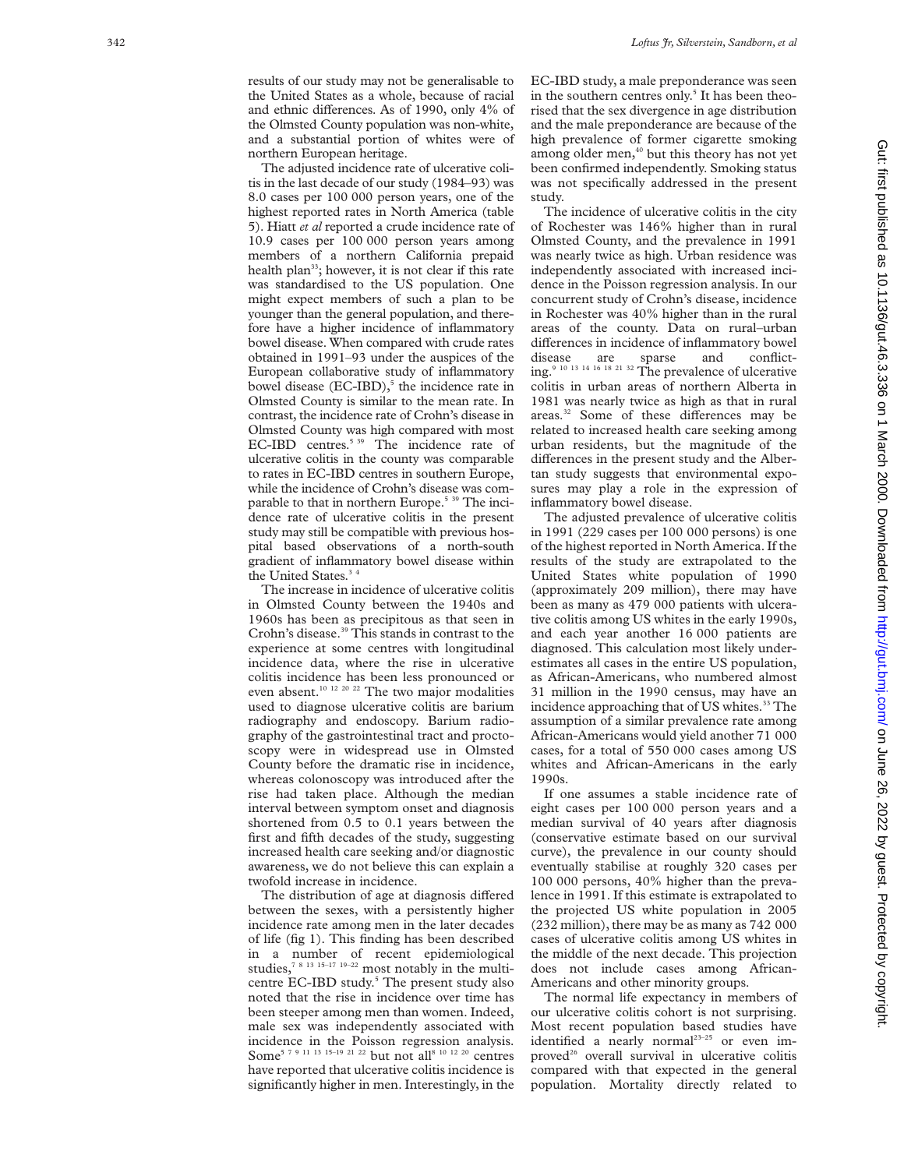results of our study may not be generalisable to the United States as a whole, because of racial and ethnic differences. As of 1990, only 4% of the Olmsted County population was non-white, and a substantial portion of whites were of northern European heritage.

The adjusted incidence rate of ulcerative colitis in the last decade of our study (1984–93) was 8.0 cases per 100 000 person years, one of the highest reported rates in North America (table 5). Hiatt *et al* reported a crude incidence rate of 10.9 cases per 100 000 person years among members of a northern California prepaid health plan<sup>33</sup>; however, it is not clear if this rate was standardised to the US population. One might expect members of such a plan to be younger than the general population, and therefore have a higher incidence of inflammatory bowel disease. When compared with crude rates obtained in 1991–93 under the auspices of the European collaborative study of inflammatory bowel disease (EC-IBD), <sup>5</sup> the incidence rate in Olmsted County is similar to the mean rate. In contrast, the incidence rate of Crohn's disease in Olmsted County was high compared with most EC-IBD centres.<sup>5 39</sup> The incidence rate of ulcerative colitis in the county was comparable to rates in EC-IBD centres in southern Europe, while the incidence of Crohn's disease was comparable to that in northern Europe.<sup>5 39</sup> The incidence rate of ulcerative colitis in the present study may still be compatible with previous hospital based observations of a north-south gradient of inflammatory bowel disease within the United States.<sup>34</sup>

The increase in incidence of ulcerative colitis in Olmsted County between the 1940s and 1960s has been as precipitous as that seen in Crohn's disease.<sup>39</sup> This stands in contrast to the experience at some centres with longitudinal incidence data, where the rise in ulcerative colitis incidence has been less pronounced or even absent.<sup>10 12 20 22</sup> The two major modalities used to diagnose ulcerative colitis are barium radiography and endoscopy. Barium radiography of the gastrointestinal tract and proctoscopy were in widespread use in Olmsted County before the dramatic rise in incidence, whereas colonoscopy was introduced after the rise had taken place. Although the median interval between symptom onset and diagnosis shortened from 0.5 to 0.1 years between the first and fifth decades of the study, suggesting increased health care seeking and/or diagnostic awareness, we do not believe this can explain a twofold increase in incidence.

The distribution of age at diagnosis differed between the sexes, with a persistently higher incidence rate among men in the later decades of life (fig 1). This finding has been described in a number of recent epidemiological studies,<sup>7 8 13 15–17 19–22</sup> most notably in the multicentre EC-IBD study.<sup>5</sup> The present study also noted that the rise in incidence over time has been steeper among men than women. Indeed, male sex was independently associated with incidence in the Poisson regression analysis. Some<sup>5 7 9 11 13 15–19 21 22</sup> but not all<sup>8 10 12 20</sup> centres have reported that ulcerative colitis incidence is significantly higher in men. Interestingly, in the EC-IBD study, a male preponderance was seen in the southern centres only. <sup>5</sup> It has been theorised that the sex divergence in age distribution and the male preponderance are because of the high prevalence of former cigarette smoking among older men,<sup>40</sup> but this theory has not yet been confirmed independently. Smoking status was not specifically addressed in the present study.

The incidence of ulcerative colitis in the city of Rochester was 146% higher than in rural Olmsted County, and the prevalence in 1991 was nearly twice as high. Urban residence was independently associated with increased incidence in the Poisson regression analysis. In our concurrent study of Crohn's disease, incidence in Rochester was 40% higher than in the rural areas of the county. Data on rural–urban differences in incidence of inflammatory bowel disease are sparse and conflicting.9 10 13 14 16 18 21 32 The prevalence of ulcerative colitis in urban areas of northern Alberta in 1981 was nearly twice as high as that in rural areas.<sup>32</sup> Some of these differences may be related to increased health care seeking among urban residents, but the magnitude of the differences in the present study and the Albertan study suggests that environmental exposures may play a role in the expression of inflammatory bowel disease.

The adjusted prevalence of ulcerative colitis in 1991 (229 cases per 100 000 persons) is one of the highest reported in North America. If the results of the study are extrapolated to the United States white population of 1990 (approximately 209 million), there may have been as many as 479 000 patients with ulcerative colitis among US whites in the early 1990s, and each year another 16 000 patients are diagnosed. This calculation most likely underestimates all cases in the entire US population, as African-Americans, who numbered almost 31 million in the 1990 census, may have an incidence approaching that of US whites.<sup>33</sup> The assumption of a similar prevalence rate among African-Americans would yield another 71 000 cases, for a total of 550 000 cases among US whites and African-Americans in the early 1990s.

If one assumes a stable incidence rate of eight cases per 100 000 person years and a median survival of 40 years after diagnosis (conservative estimate based on our survival curve), the prevalence in our county should eventually stabilise at roughly 320 cases per 100 000 persons, 40% higher than the prevalence in 1991. If this estimate is extrapolated to the projected US white population in 2005 (232 million), there may be as many as 742 000 cases of ulcerative colitis among US whites in the middle of the next decade. This projection does not include cases among African-Americans and other minority groups.

The normal life expectancy in members of our ulcerative colitis cohort is not surprising. Most recent population based studies have identified a nearly normal $23-25$  or even improved<sup>26</sup> overall survival in ulcerative colitis compared with that expected in the general population. Mortality directly related to